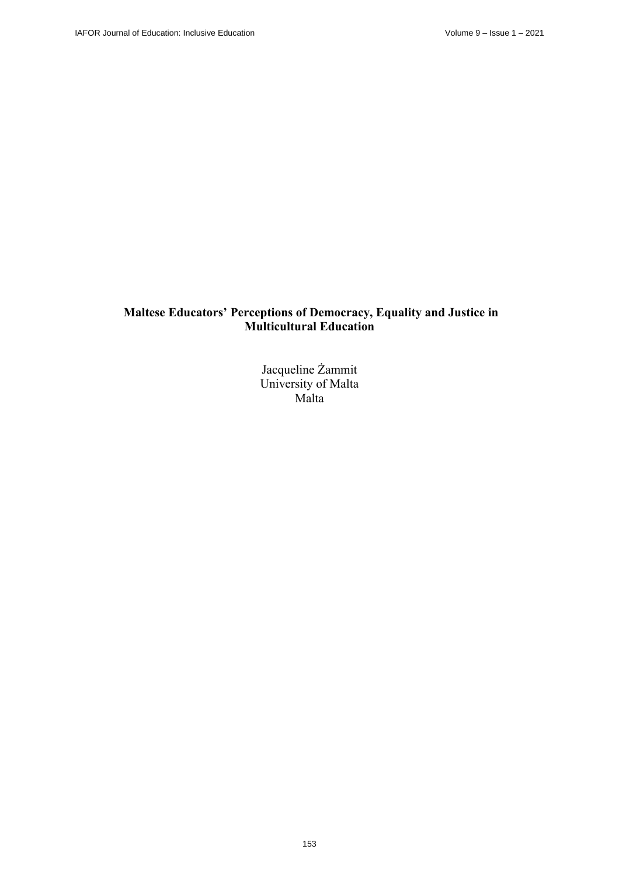# **Maltese Educators' Perceptions of Democracy, Equality and Justice in Multicultural Education**

Jacqueline Żammit University of Malta Malta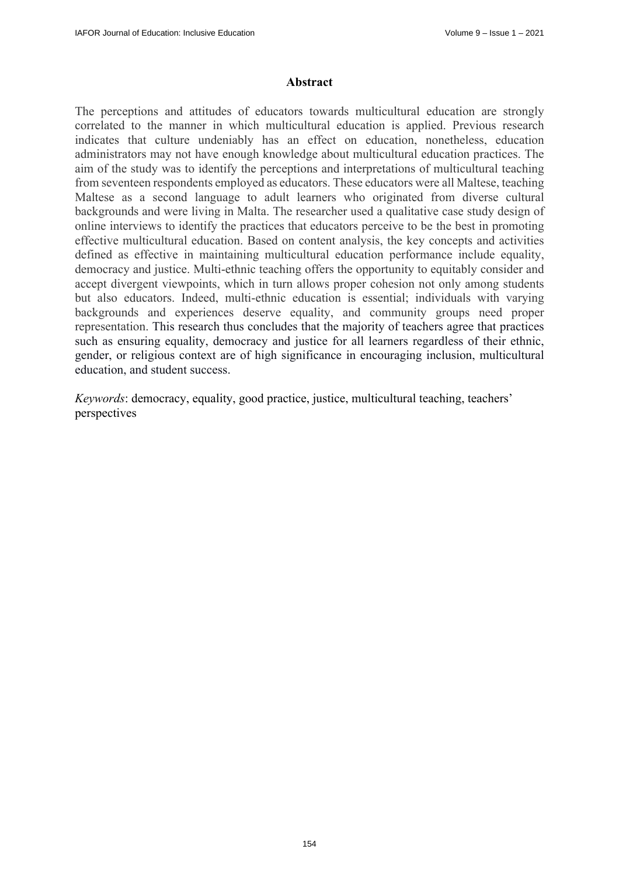### **Abstract**

The perceptions and attitudes of educators towards multicultural education are strongly correlated to the manner in which multicultural education is applied. Previous research indicates that culture undeniably has an effect on education, nonetheless, education administrators may not have enough knowledge about multicultural education practices. The aim of the study was to identify the perceptions and interpretations of multicultural teaching from seventeen respondents employed as educators. These educators were all Maltese, teaching Maltese as a second language to adult learners who originated from diverse cultural backgrounds and were living in Malta. The researcher used a qualitative case study design of online interviews to identify the practices that educators perceive to be the best in promoting effective multicultural education. Based on content analysis, the key concepts and activities defined as effective in maintaining multicultural education performance include equality, democracy and justice. Multi-ethnic teaching offers the opportunity to equitably consider and accept divergent viewpoints, which in turn allows proper cohesion not only among students but also educators. Indeed, multi-ethnic education is essential; individuals with varying backgrounds and experiences deserve equality, and community groups need proper representation. This research thus concludes that the majority of teachers agree that practices such as ensuring equality, democracy and justice for all learners regardless of their ethnic, gender, or religious context are of high significance in encouraging inclusion, multicultural education, and student success.

*Keywords*: democracy, equality, good practice, justice, multicultural teaching, teachers' perspectives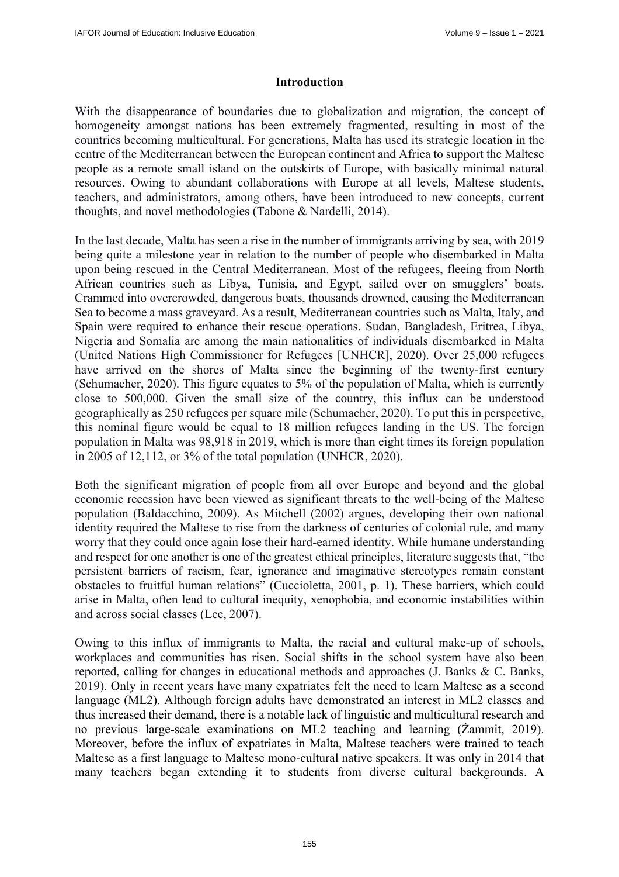### **Introduction**

With the disappearance of boundaries due to globalization and migration, the concept of homogeneity amongst nations has been extremely fragmented, resulting in most of the countries becoming multicultural. For generations, Malta has used its strategic location in the centre of the Mediterranean between the European continent and Africa to support the Maltese people as a remote small island on the outskirts of Europe, with basically minimal natural resources. Owing to abundant collaborations with Europe at all levels, Maltese students, teachers, and administrators, among others, have been introduced to new concepts, current thoughts, and novel methodologies (Tabone & Nardelli, 2014).

In the last decade, Malta has seen a rise in the number of immigrants arriving by sea, with 2019 being quite a milestone year in relation to the number of people who disembarked in Malta upon being rescued in the Central Mediterranean. Most of the refugees, fleeing from North African countries such as Libya, Tunisia, and Egypt, sailed over on smugglers' boats. Crammed into overcrowded, dangerous boats, thousands drowned, causing the Mediterranean Sea to become a mass graveyard. As a result, Mediterranean countries such as Malta, Italy, and Spain were required to enhance their rescue operations. Sudan, Bangladesh, Eritrea, Libya, Nigeria and Somalia are among the main nationalities of individuals disembarked in Malta (United Nations High Commissioner for Refugees [UNHCR], 2020). Over 25,000 refugees have arrived on the shores of Malta since the beginning of the twenty-first century (Schumacher, 2020). This figure equates to 5% of the population of Malta, which is currently close to 500,000. Given the small size of the country, this influx can be understood geographically as 250 refugees per square mile (Schumacher, 2020). To put this in perspective, this nominal figure would be equal to 18 million refugees landing in the US. The foreign population in Malta was 98,918 in 2019, which is more than eight times its foreign population in 2005 of 12,112, or 3% of the total population (UNHCR, 2020).

Both the significant migration of people from all over Europe and beyond and the global economic recession have been viewed as significant threats to the well-being of the Maltese population (Baldacchino, 2009). As Mitchell (2002) argues, developing their own national identity required the Maltese to rise from the darkness of centuries of colonial rule, and many worry that they could once again lose their hard-earned identity. While humane understanding and respect for one another is one of the greatest ethical principles, literature suggests that, "the persistent barriers of racism, fear, ignorance and imaginative stereotypes remain constant obstacles to fruitful human relations" (Cuccioletta, 2001, p. 1). These barriers, which could arise in Malta, often lead to cultural inequity, xenophobia, and economic instabilities within and across social classes (Lee, 2007).

Owing to this influx of immigrants to Malta, the racial and cultural make-up of schools, workplaces and communities has risen. Social shifts in the school system have also been reported, calling for changes in educational methods and approaches (J. Banks & C. Banks, 2019). Only in recent years have many expatriates felt the need to learn Maltese as a second language (ML2). Although foreign adults have demonstrated an interest in ML2 classes and thus increased their demand, there is a notable lack of linguistic and multicultural research and no previous large-scale examinations on ML2 teaching and learning (Żammit, 2019). Moreover, before the influx of expatriates in Malta, Maltese teachers were trained to teach Maltese as a first language to Maltese mono-cultural native speakers. It was only in 2014 that many teachers began extending it to students from diverse cultural backgrounds. A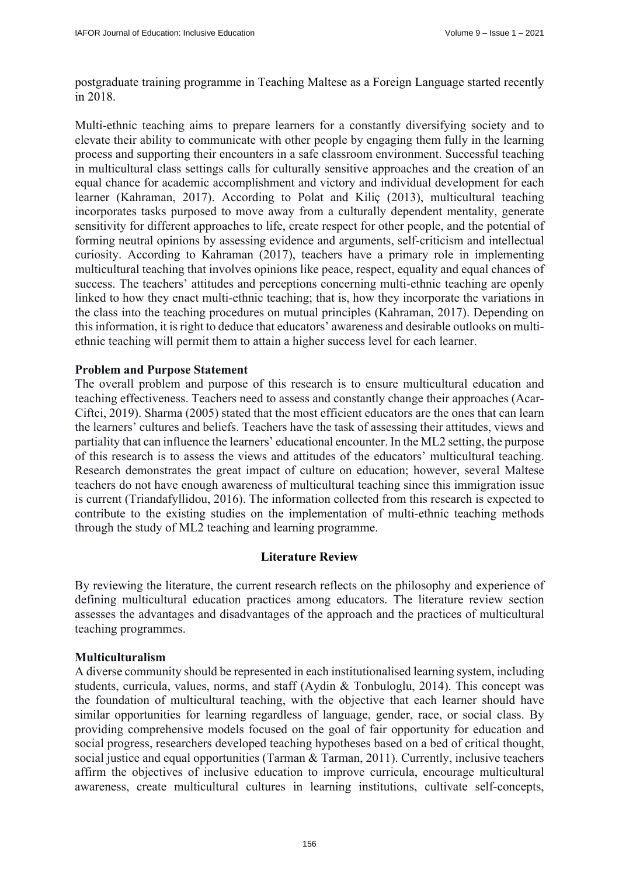postgraduate training programme in Teaching Maltese as a Foreign Language started recently in 2018.

Multi-ethnic teaching aims to prepare learners for a constantly diversifying society and to elevate their ability to communicate with other people by engaging them fully in the learning process and supporting their encounters in a safe classroom environment. Successful teaching in multicultural class settings calls for culturally sensitive approaches and the creation of an equal chance for academic accomplishment and victory and individual development for each learner (Kahraman, 2017). According to Polat and Kiliç (2013), multicultural teaching incorporates tasks purposed to move away from a culturally dependent mentality, generate sensitivity for different approaches to life, create respect for other people, and the potential of forming neutral opinions by assessing evidence and arguments, self-criticism and intellectual curiosity. According to Kahraman (2017), teachers have a primary role in implementing multicultural teaching that involves opinions like peace, respect, equality and equal chances of success. The teachers' attitudes and perceptions concerning multi-ethnic teaching are openly linked to how they enact multi-ethnic teaching; that is, how they incorporate the variations in the class into the teaching procedures on mutual principles (Kahraman, 2017). Depending on this information, it is right to deduce that educators' awareness and desirable outlooks on multiethnic teaching will permit them to attain a higher success level for each learner.

### **Problem and Purpose Statement**

The overall problem and purpose of this research is to ensure multicultural education and teaching effectiveness. Teachers need to assess and constantly change their approaches (Acar-Ciftci, 2019). Sharma (2005) stated that the most efficient educators are the ones that can learn the learners' cultures and beliefs. Teachers have the task of assessing their attitudes, views and partiality that can influence the learners' educational encounter. In the ML2 setting, the purpose of this research is to assess the views and attitudes of the educators' multicultural teaching. Research demonstrates the great impact of culture on education; however, several Maltese teachers do not have enough awareness of multicultural teaching since this immigration issue is current (Triandafyllidou, 2016). The information collected from this research is expected to contribute to the existing studies on the implementation of multi-ethnic teaching methods through the study of ML2 teaching and learning programme.

### **Literature Review**

By reviewing the literature, the current research reflects on the philosophy and experience of defining multicultural education practices among educators. The literature review section assesses the advantages and disadvantages of the approach and the practices of multicultural teaching programmes.

### **Multiculturalism**

A diverse community should be represented in each institutionalised learning system, including students, curricula, values, norms, and staff (Aydin & Tonbuloglu, 2014). This concept was the foundation of multicultural teaching, with the objective that each learner should have similar opportunities for learning regardless of language, gender, race, or social class. By providing comprehensive models focused on the goal of fair opportunity for education and social progress, researchers developed teaching hypotheses based on a bed of critical thought, social justice and equal opportunities (Tarman & Tarman, 2011). Currently, inclusive teachers affirm the objectives of inclusive education to improve curricula, encourage multicultural awareness, create multicultural cultures in learning institutions, cultivate self-concepts,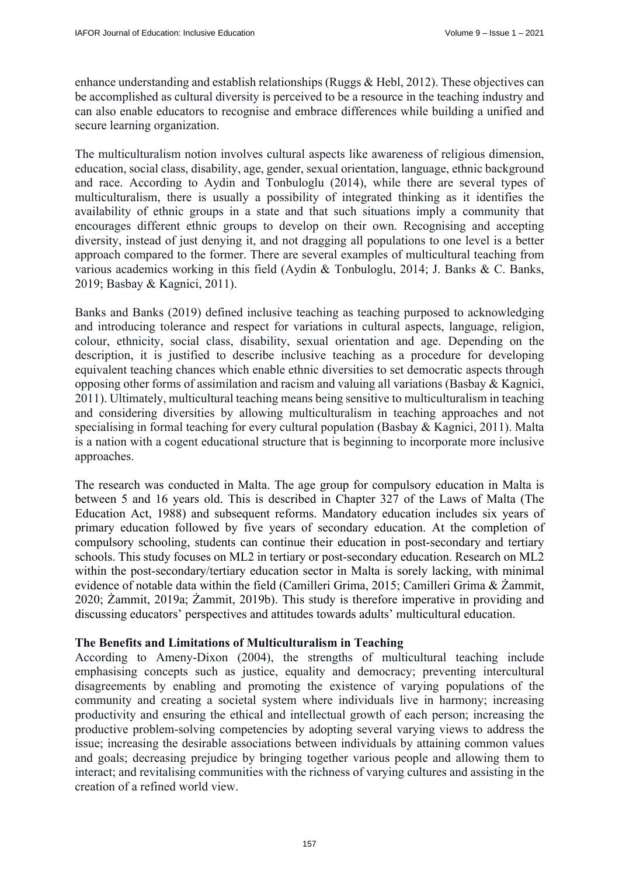enhance understanding and establish relationships (Ruggs & Hebl, 2012). These objectives can be accomplished as cultural diversity is perceived to be a resource in the teaching industry and can also enable educators to recognise and embrace differences while building a unified and secure learning organization.

The multiculturalism notion involves cultural aspects like awareness of religious dimension, education, social class, disability, age, gender, sexual orientation, language, ethnic background and race. According to Aydin and Tonbuloglu (2014), while there are several types of multiculturalism, there is usually a possibility of integrated thinking as it identifies the availability of ethnic groups in a state and that such situations imply a community that encourages different ethnic groups to develop on their own. Recognising and accepting diversity, instead of just denying it, and not dragging all populations to one level is a better approach compared to the former. There are several examples of multicultural teaching from various academics working in this field (Aydin & Tonbuloglu, 2014; J. Banks & C. Banks, 2019; Basbay & Kagnici, 2011).

Banks and Banks (2019) defined inclusive teaching as teaching purposed to acknowledging and introducing tolerance and respect for variations in cultural aspects, language, religion, colour, ethnicity, social class, disability, sexual orientation and age. Depending on the description, it is justified to describe inclusive teaching as a procedure for developing equivalent teaching chances which enable ethnic diversities to set democratic aspects through opposing other forms of assimilation and racism and valuing all variations (Basbay & Kagnici, 2011). Ultimately, multicultural teaching means being sensitive to multiculturalism in teaching and considering diversities by allowing multiculturalism in teaching approaches and not specialising in formal teaching for every cultural population (Basbay & Kagnici, 2011). Malta is a nation with a cogent educational structure that is beginning to incorporate more inclusive approaches.

The research was conducted in Malta. The age group for compulsory education in Malta is between 5 and 16 years old. This is described in Chapter 327 of the Laws of Malta (The Education Act, 1988) and subsequent reforms. Mandatory education includes six years of primary education followed by five years of secondary education. At the completion of compulsory schooling, students can continue their education in post-secondary and tertiary schools. This study focuses on ML2 in tertiary or post-secondary education. Research on ML2 within the post-secondary/tertiary education sector in Malta is sorely lacking, with minimal evidence of notable data within the field (Camilleri Grima, 2015; Camilleri Grima & Żammit, 2020; Żammit, 2019a; Żammit, 2019b). This study is therefore imperative in providing and discussing educators' perspectives and attitudes towards adults' multicultural education.

### **The Benefits and Limitations of Multiculturalism in Teaching**

According to Ameny-Dixon (2004), the strengths of multicultural teaching include emphasising concepts such as justice, equality and democracy; preventing intercultural disagreements by enabling and promoting the existence of varying populations of the community and creating a societal system where individuals live in harmony; increasing productivity and ensuring the ethical and intellectual growth of each person; increasing the productive problem-solving competencies by adopting several varying views to address the issue; increasing the desirable associations between individuals by attaining common values and goals; decreasing prejudice by bringing together various people and allowing them to interact; and revitalising communities with the richness of varying cultures and assisting in the creation of a refined world view.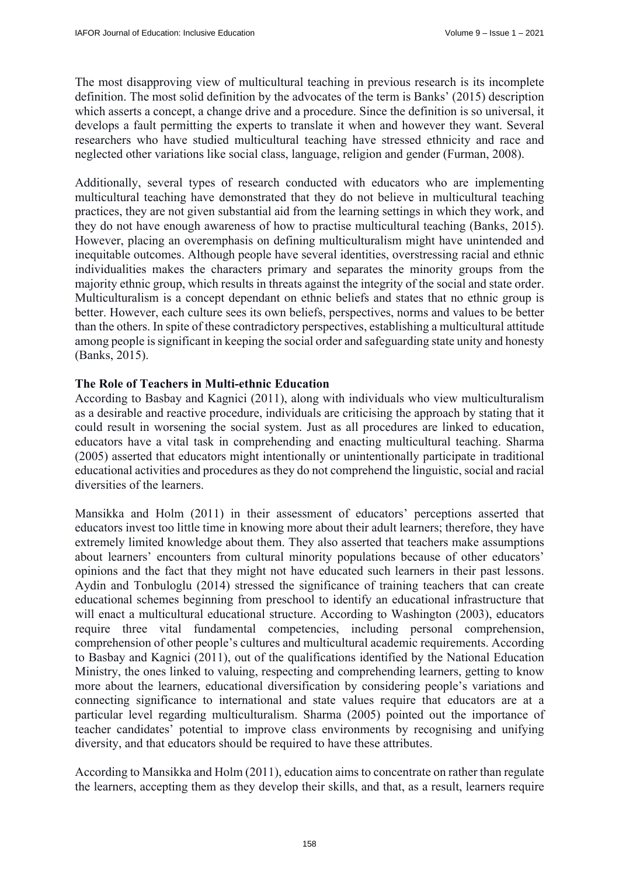The most disapproving view of multicultural teaching in previous research is its incomplete definition. The most solid definition by the advocates of the term is Banks' (2015) description which asserts a concept, a change drive and a procedure. Since the definition is so universal, it develops a fault permitting the experts to translate it when and however they want. Several researchers who have studied multicultural teaching have stressed ethnicity and race and neglected other variations like social class, language, religion and gender (Furman, 2008).

Additionally, several types of research conducted with educators who are implementing multicultural teaching have demonstrated that they do not believe in multicultural teaching practices, they are not given substantial aid from the learning settings in which they work, and they do not have enough awareness of how to practise multicultural teaching (Banks, 2015). However, placing an overemphasis on defining multiculturalism might have unintended and inequitable outcomes. Although people have several identities, overstressing racial and ethnic individualities makes the characters primary and separates the minority groups from the majority ethnic group, which results in threats against the integrity of the social and state order. Multiculturalism is a concept dependant on ethnic beliefs and states that no ethnic group is better. However, each culture sees its own beliefs, perspectives, norms and values to be better than the others. In spite of these contradictory perspectives, establishing a multicultural attitude among people is significant in keeping the social order and safeguarding state unity and honesty (Banks, 2015).

# **The Role of Teachers in Multi-ethnic Education**

According to Basbay and Kagnici (2011), along with individuals who view multiculturalism as a desirable and reactive procedure, individuals are criticising the approach by stating that it could result in worsening the social system. Just as all procedures are linked to education, educators have a vital task in comprehending and enacting multicultural teaching. Sharma (2005) asserted that educators might intentionally or unintentionally participate in traditional educational activities and procedures as they do not comprehend the linguistic, social and racial diversities of the learners.

Mansikka and Holm (2011) in their assessment of educators' perceptions asserted that educators invest too little time in knowing more about their adult learners; therefore, they have extremely limited knowledge about them. They also asserted that teachers make assumptions about learners' encounters from cultural minority populations because of other educators' opinions and the fact that they might not have educated such learners in their past lessons. Aydin and Tonbuloglu (2014) stressed the significance of training teachers that can create educational schemes beginning from preschool to identify an educational infrastructure that will enact a multicultural educational structure. According to Washington (2003), educators require three vital fundamental competencies, including personal comprehension, comprehension of other people's cultures and multicultural academic requirements. According to Basbay and Kagnici (2011), out of the qualifications identified by the National Education Ministry, the ones linked to valuing, respecting and comprehending learners, getting to know more about the learners, educational diversification by considering people's variations and connecting significance to international and state values require that educators are at a particular level regarding multiculturalism. Sharma (2005) pointed out the importance of teacher candidates' potential to improve class environments by recognising and unifying diversity, and that educators should be required to have these attributes.

According to Mansikka and Holm (2011), education aims to concentrate on rather than regulate the learners, accepting them as they develop their skills, and that, as a result, learners require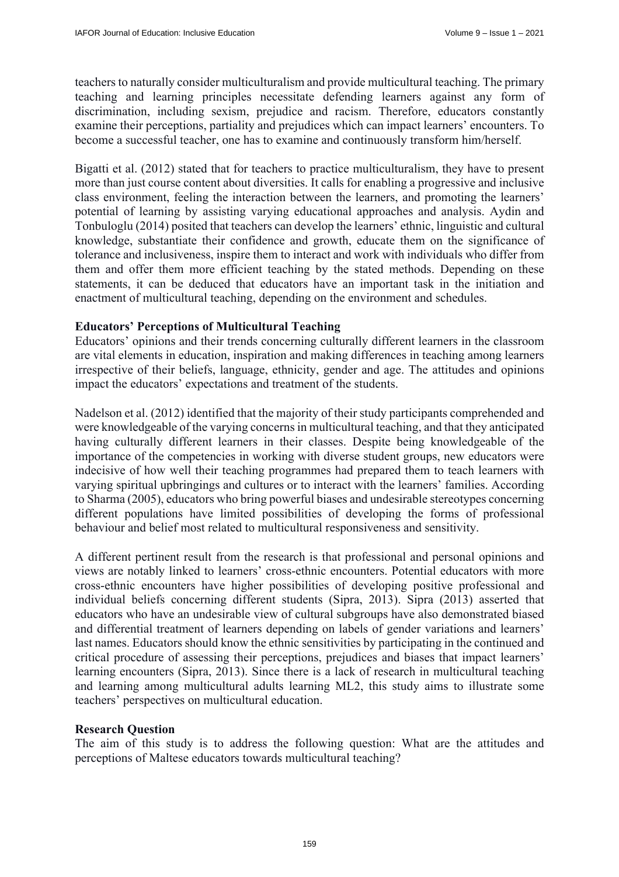teachers to naturally consider multiculturalism and provide multicultural teaching. The primary teaching and learning principles necessitate defending learners against any form of discrimination, including sexism, prejudice and racism. Therefore, educators constantly examine their perceptions, partiality and prejudices which can impact learners' encounters. To become a successful teacher, one has to examine and continuously transform him/herself.

Bigatti et al. (2012) stated that for teachers to practice multiculturalism, they have to present more than just course content about diversities. It calls for enabling a progressive and inclusive class environment, feeling the interaction between the learners, and promoting the learners' potential of learning by assisting varying educational approaches and analysis. Aydin and Tonbuloglu (2014) posited that teachers can develop the learners' ethnic, linguistic and cultural knowledge, substantiate their confidence and growth, educate them on the significance of tolerance and inclusiveness, inspire them to interact and work with individuals who differ from them and offer them more efficient teaching by the stated methods. Depending on these statements, it can be deduced that educators have an important task in the initiation and enactment of multicultural teaching, depending on the environment and schedules.

### **Educators' Perceptions of Multicultural Teaching**

Educators' opinions and their trends concerning culturally different learners in the classroom are vital elements in education, inspiration and making differences in teaching among learners irrespective of their beliefs, language, ethnicity, gender and age. The attitudes and opinions impact the educators' expectations and treatment of the students.

Nadelson et al. (2012) identified that the majority of their study participants comprehended and were knowledgeable of the varying concerns in multicultural teaching, and that they anticipated having culturally different learners in their classes. Despite being knowledgeable of the importance of the competencies in working with diverse student groups, new educators were indecisive of how well their teaching programmes had prepared them to teach learners with varying spiritual upbringings and cultures or to interact with the learners' families. According to Sharma (2005), educators who bring powerful biases and undesirable stereotypes concerning different populations have limited possibilities of developing the forms of professional behaviour and belief most related to multicultural responsiveness and sensitivity.

A different pertinent result from the research is that professional and personal opinions and views are notably linked to learners' cross-ethnic encounters. Potential educators with more cross-ethnic encounters have higher possibilities of developing positive professional and individual beliefs concerning different students (Sipra, 2013). Sipra (2013) asserted that educators who have an undesirable view of cultural subgroups have also demonstrated biased and differential treatment of learners depending on labels of gender variations and learners' last names. Educators should know the ethnic sensitivities by participating in the continued and critical procedure of assessing their perceptions, prejudices and biases that impact learners' learning encounters (Sipra, 2013). Since there is a lack of research in multicultural teaching and learning among multicultural adults learning ML2, this study aims to illustrate some teachers' perspectives on multicultural education.

### **Research Question**

The aim of this study is to address the following question: What are the attitudes and perceptions of Maltese educators towards multicultural teaching?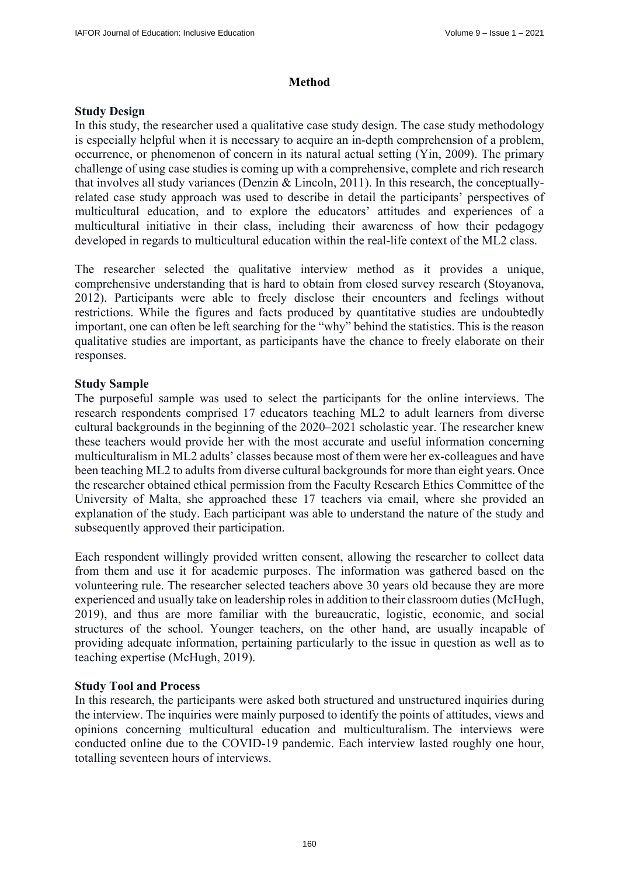### **Method**

### **Study Design**

In this study, the researcher used a qualitative case study design. The case study methodology is especially helpful when it is necessary to acquire an in-depth comprehension of a problem, occurrence, or phenomenon of concern in its natural actual setting (Yin, 2009). The primary challenge of using case studies is coming up with a comprehensive, complete and rich research that involves all study variances (Denzin & Lincoln, 2011). In this research, the conceptuallyrelated case study approach was used to describe in detail the participants' perspectives of multicultural education, and to explore the educators' attitudes and experiences of a multicultural initiative in their class, including their awareness of how their pedagogy developed in regards to multicultural education within the real-life context of the ML2 class.

The researcher selected the qualitative interview method as it provides a unique, comprehensive understanding that is hard to obtain from closed survey research (Stoyanova, 2012). Participants were able to freely disclose their encounters and feelings without restrictions. While the figures and facts produced by quantitative studies are undoubtedly important, one can often be left searching for the "why" behind the statistics. This is the reason qualitative studies are important, as participants have the chance to freely elaborate on their responses.

## **Study Sample**

The purposeful sample was used to select the participants for the online interviews. The research respondents comprised 17 educators teaching ML2 to adult learners from diverse cultural backgrounds in the beginning of the 2020–2021 scholastic year. The researcher knew these teachers would provide her with the most accurate and useful information concerning multiculturalism in ML2 adults' classes because most of them were her ex-colleagues and have been teaching ML2 to adults from diverse cultural backgrounds for more than eight years. Once the researcher obtained ethical permission from the Faculty Research Ethics Committee of the University of Malta, she approached these 17 teachers via email, where she provided an explanation of the study. Each participant was able to understand the nature of the study and subsequently approved their participation.

Each respondent willingly provided written consent, allowing the researcher to collect data from them and use it for academic purposes. The information was gathered based on the volunteering rule. The researcher selected teachers above 30 years old because they are more experienced and usually take on leadership roles in addition to their classroom duties (McHugh, 2019), and thus are more familiar with the bureaucratic, logistic, economic, and social structures of the school. Younger teachers, on the other hand, are usually incapable of providing adequate information, pertaining particularly to the issue in question as well as to teaching expertise (McHugh, 2019).

## **Study Tool and Process**

In this research, the participants were asked both structured and unstructured inquiries during the interview. The inquiries were mainly purposed to identify the points of attitudes, views and opinions concerning multicultural education and multiculturalism. The interviews were conducted online due to the COVID-19 pandemic. Each interview lasted roughly one hour, totalling seventeen hours of interviews.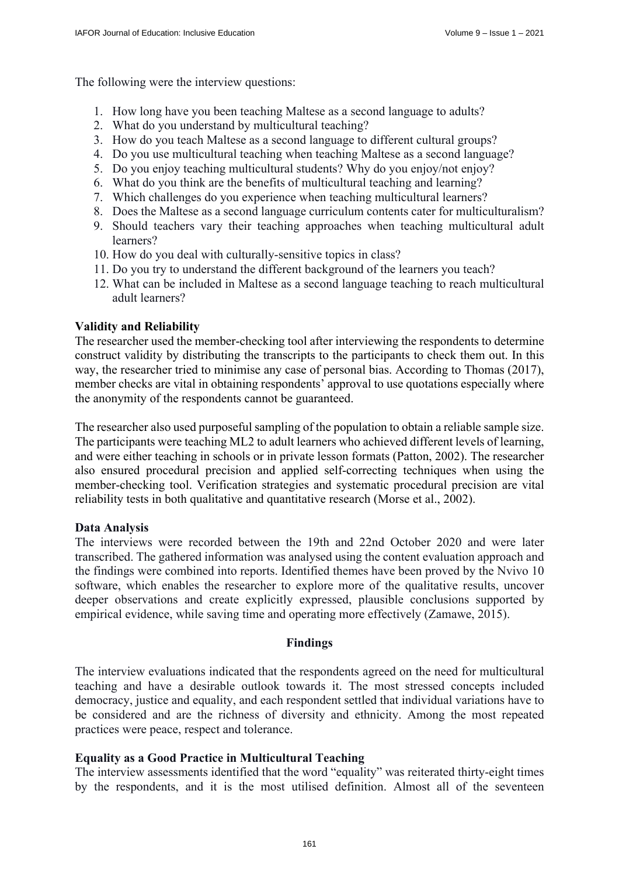The following were the interview questions:

- 1. How long have you been teaching Maltese as a second language to adults?
- 2. What do you understand by multicultural teaching?
- 3. How do you teach Maltese as a second language to different cultural groups?
- 4. Do you use multicultural teaching when teaching Maltese as a second language?
- 5. Do you enjoy teaching multicultural students? Why do you enjoy/not enjoy?
- 6. What do you think are the benefits of multicultural teaching and learning?
- 7. Which challenges do you experience when teaching multicultural learners?
- 8. Does the Maltese as a second language curriculum contents cater for multiculturalism?
- 9. Should teachers vary their teaching approaches when teaching multicultural adult learners?
- 10. How do you deal with culturally-sensitive topics in class?
- 11. Do you try to understand the different background of the learners you teach?
- 12. What can be included in Maltese as a second language teaching to reach multicultural adult learners?

### **Validity and Reliability**

The researcher used the member-checking tool after interviewing the respondents to determine construct validity by distributing the transcripts to the participants to check them out. In this way, the researcher tried to minimise any case of personal bias. According to Thomas (2017), member checks are vital in obtaining respondents' approval to use quotations especially where the anonymity of the respondents cannot be guaranteed.

The researcher also used purposeful sampling of the population to obtain a reliable sample size. The participants were teaching ML2 to adult learners who achieved different levels of learning, and were either teaching in schools or in private lesson formats (Patton, 2002). The researcher also ensured procedural precision and applied self-correcting techniques when using the member-checking tool. Verification strategies and systematic procedural precision are vital reliability tests in both qualitative and quantitative research (Morse et al., 2002).

### **Data Analysis**

The interviews were recorded between the 19th and 22nd October 2020 and were later transcribed. The gathered information was analysed using the content evaluation approach and the findings were combined into reports. Identified themes have been proved by the Nvivo 10 software, which enables the researcher to explore more of the qualitative results, uncover deeper observations and create explicitly expressed, plausible conclusions supported by empirical evidence, while saving time and operating more effectively (Zamawe, 2015).

### **Findings**

The interview evaluations indicated that the respondents agreed on the need for multicultural teaching and have a desirable outlook towards it. The most stressed concepts included democracy, justice and equality, and each respondent settled that individual variations have to be considered and are the richness of diversity and ethnicity. Among the most repeated practices were peace, respect and tolerance.

### **Equality as a Good Practice in Multicultural Teaching**

The interview assessments identified that the word "equality" was reiterated thirty-eight times by the respondents, and it is the most utilised definition. Almost all of the seventeen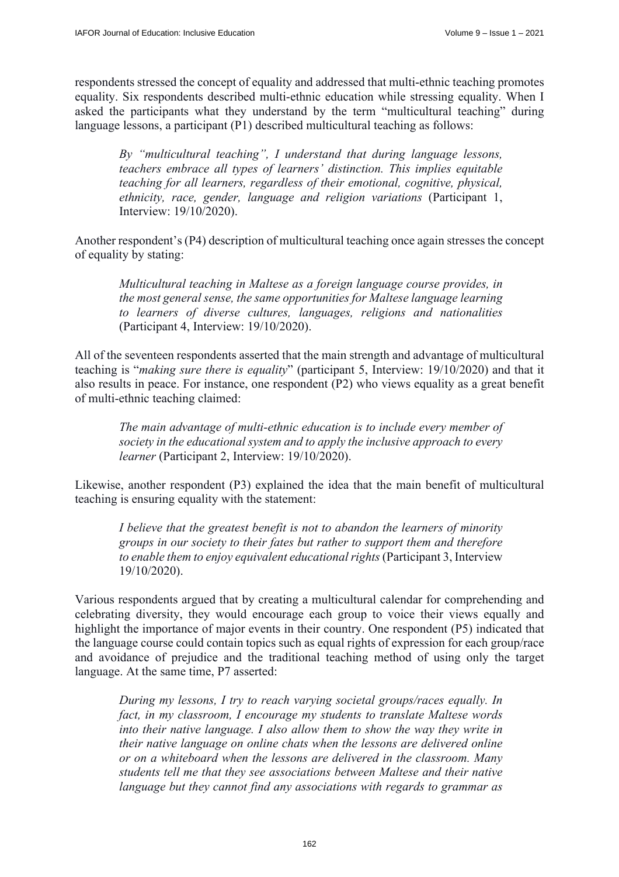respondents stressed the concept of equality and addressed that multi-ethnic teaching promotes equality. Six respondents described multi-ethnic education while stressing equality. When I asked the participants what they understand by the term "multicultural teaching" during language lessons, a participant (P1) described multicultural teaching as follows:

*By "multicultural teaching", I understand that during language lessons, teachers embrace all types of learners' distinction. This implies equitable teaching for all learners, regardless of their emotional, cognitive, physical, ethnicity, race, gender, language and religion variations* (Participant 1, Interview: 19/10/2020).

Another respondent's (P4) description of multicultural teaching once again stresses the concept of equality by stating:

*Multicultural teaching in Maltese as a foreign language course provides, in the most general sense, the same opportunities for Maltese language learning to learners of diverse cultures, languages, religions and nationalities*  (Participant 4, Interview: 19/10/2020).

All of the seventeen respondents asserted that the main strength and advantage of multicultural teaching is "*making sure there is equality*" (participant 5, Interview: 19/10/2020) and that it also results in peace. For instance, one respondent (P2) who views equality as a great benefit of multi-ethnic teaching claimed:

*The main advantage of multi-ethnic education is to include every member of society in the educational system and to apply the inclusive approach to every learner* (Participant 2, Interview: 19/10/2020).

Likewise, another respondent (P3) explained the idea that the main benefit of multicultural teaching is ensuring equality with the statement:

*I believe that the greatest benefit is not to abandon the learners of minority groups in our society to their fates but rather to support them and therefore to enable them to enjoy equivalent educational rights* (Participant 3, Interview 19/10/2020).

Various respondents argued that by creating a multicultural calendar for comprehending and celebrating diversity, they would encourage each group to voice their views equally and highlight the importance of major events in their country. One respondent (P5) indicated that the language course could contain topics such as equal rights of expression for each group/race and avoidance of prejudice and the traditional teaching method of using only the target language. At the same time, P7 asserted:

*During my lessons, I try to reach varying societal groups/races equally. In fact, in my classroom, I encourage my students to translate Maltese words into their native language. I also allow them to show the way they write in their native language on online chats when the lessons are delivered online or on a whiteboard when the lessons are delivered in the classroom. Many students tell me that they see associations between Maltese and their native language but they cannot find any associations with regards to grammar as*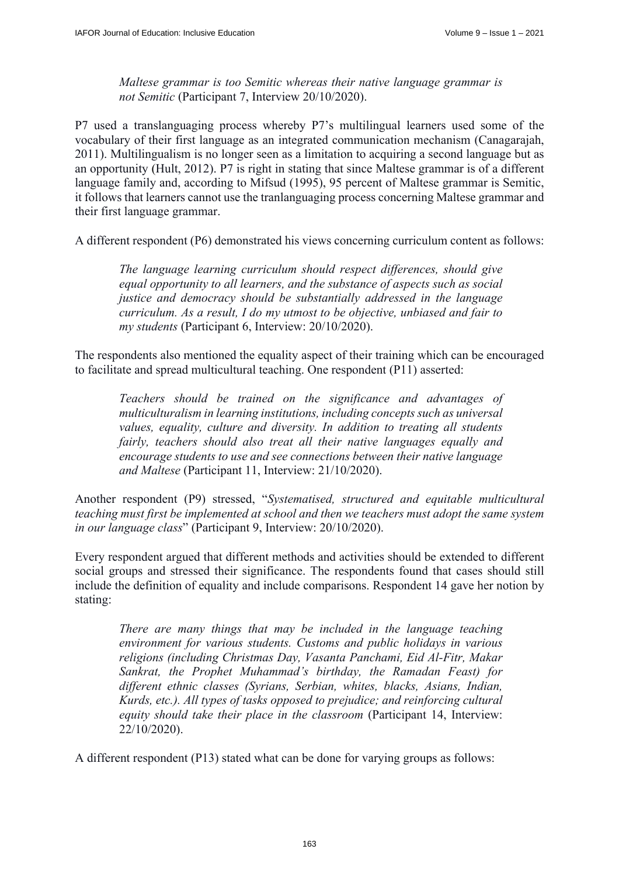*Maltese grammar is too Semitic whereas their native language grammar is not Semitic* (Participant 7, Interview 20/10/2020).

P7 used a translanguaging process whereby P7's multilingual learners used some of the vocabulary of their first language as an integrated communication mechanism (Canagarajah, 2011). Multilingualism is no longer seen as a limitation to acquiring a second language but as an opportunity (Hult, 2012). P7 is right in stating that since Maltese grammar is of a different language family and, according to Mifsud (1995), 95 percent of Maltese grammar is Semitic, it follows that learners cannot use the tranlanguaging process concerning Maltese grammar and their first language grammar.

A different respondent (P6) demonstrated his views concerning curriculum content as follows:

*The language learning curriculum should respect differences, should give equal opportunity to all learners, and the substance of aspects such as social justice and democracy should be substantially addressed in the language curriculum. As a result, I do my utmost to be objective, unbiased and fair to my students* (Participant 6, Interview: 20/10/2020).

The respondents also mentioned the equality aspect of their training which can be encouraged to facilitate and spread multicultural teaching. One respondent (P11) asserted:

*Teachers should be trained on the significance and advantages of multiculturalism in learning institutions, including concepts such as universal values, equality, culture and diversity. In addition to treating all students fairly, teachers should also treat all their native languages equally and encourage students to use and see connections between their native language and Maltese* (Participant 11, Interview: 21/10/2020).

Another respondent (P9) stressed, "*Systematised, structured and equitable multicultural teaching must first be implemented at school and then we teachers must adopt the same system in our language class*" (Participant 9, Interview: 20/10/2020).

Every respondent argued that different methods and activities should be extended to different social groups and stressed their significance. The respondents found that cases should still include the definition of equality and include comparisons. Respondent 14 gave her notion by stating:

*There are many things that may be included in the language teaching environment for various students. Customs and public holidays in various religions (including Christmas Day, Vasanta Panchami, Eid Al-Fitr, Makar Sankrat, the Prophet Muhammad's birthday, the Ramadan Feast) for different ethnic classes (Syrians, Serbian, whites, blacks, Asians, Indian, Kurds, etc.). All types of tasks opposed to prejudice; and reinforcing cultural equity should take their place in the classroom* (Participant 14, Interview: 22/10/2020).

A different respondent (P13) stated what can be done for varying groups as follows: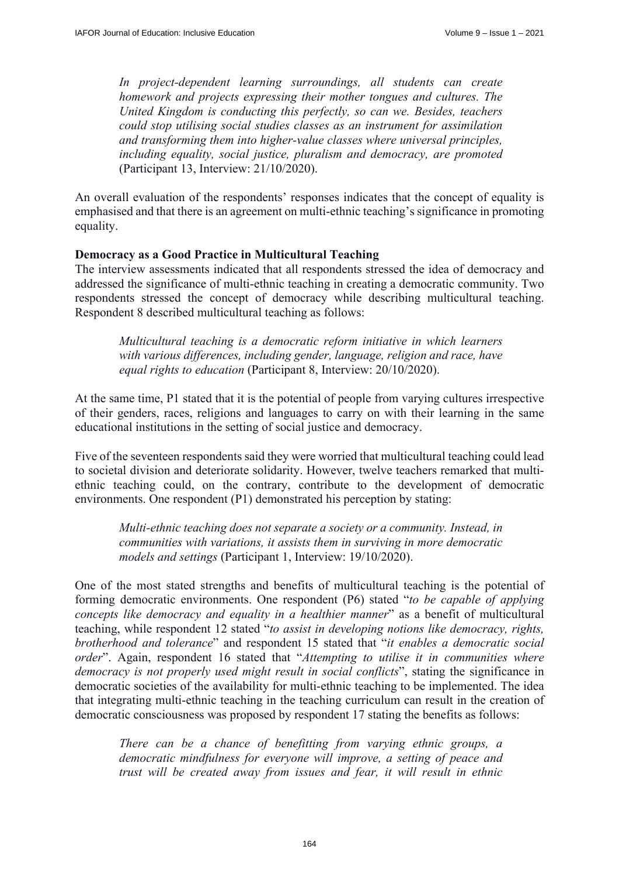*In project-dependent learning surroundings, all students can create homework and projects expressing their mother tongues and cultures. The United Kingdom is conducting this perfectly, so can we. Besides, teachers could stop utilising social studies classes as an instrument for assimilation and transforming them into higher-value classes where universal principles, including equality, social justice, pluralism and democracy, are promoted* (Participant 13, Interview: 21/10/2020).

An overall evaluation of the respondents' responses indicates that the concept of equality is emphasised and that there is an agreement on multi-ethnic teaching's significance in promoting equality.

### **Democracy as a Good Practice in Multicultural Teaching**

The interview assessments indicated that all respondents stressed the idea of democracy and addressed the significance of multi-ethnic teaching in creating a democratic community. Two respondents stressed the concept of democracy while describing multicultural teaching. Respondent 8 described multicultural teaching as follows:

*Multicultural teaching is a democratic reform initiative in which learners with various differences, including gender, language, religion and race, have equal rights to education* (Participant 8, Interview: 20/10/2020).

At the same time, P1 stated that it is the potential of people from varying cultures irrespective of their genders, races, religions and languages to carry on with their learning in the same educational institutions in the setting of social justice and democracy.

Five of the seventeen respondents said they were worried that multicultural teaching could lead to societal division and deteriorate solidarity. However, twelve teachers remarked that multiethnic teaching could, on the contrary, contribute to the development of democratic environments. One respondent (P1) demonstrated his perception by stating:

*Multi-ethnic teaching does not separate a society or a community. Instead, in communities with variations, it assists them in surviving in more democratic models and settings* (Participant 1, Interview: 19/10/2020).

One of the most stated strengths and benefits of multicultural teaching is the potential of forming democratic environments. One respondent (P6) stated "*to be capable of applying concepts like democracy and equality in a healthier manner*" as a benefit of multicultural teaching, while respondent 12 stated "*to assist in developing notions like democracy, rights, brotherhood and tolerance*" and respondent 15 stated that "*it enables a democratic social order*". Again, respondent 16 stated that "*Attempting to utilise it in communities where democracy is not properly used might result in social conflicts*", stating the significance in democratic societies of the availability for multi-ethnic teaching to be implemented. The idea that integrating multi-ethnic teaching in the teaching curriculum can result in the creation of democratic consciousness was proposed by respondent 17 stating the benefits as follows:

*There can be a chance of benefitting from varying ethnic groups, a democratic mindfulness for everyone will improve, a setting of peace and trust will be created away from issues and fear, it will result in ethnic*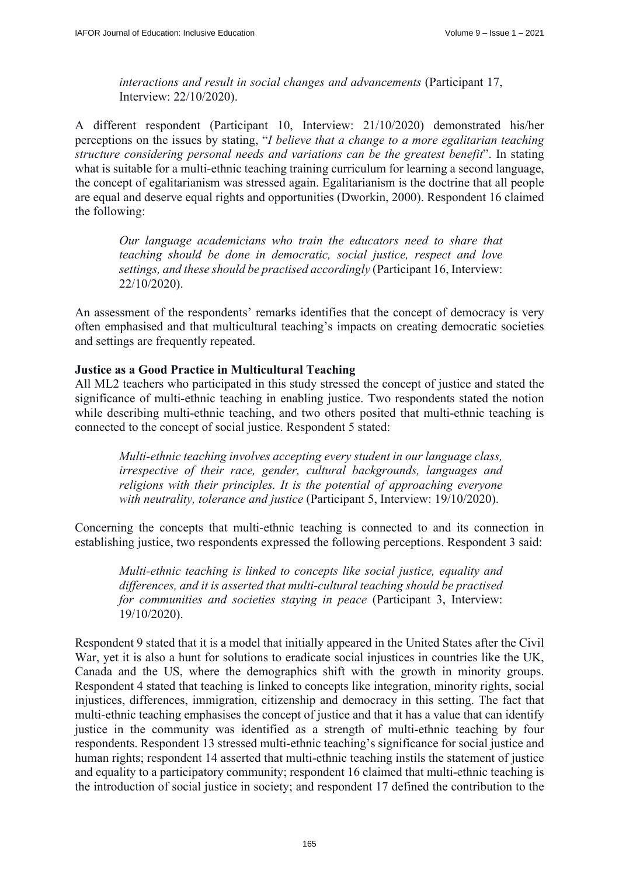*interactions and result in social changes and advancements* (Participant 17, Interview: 22/10/2020).

A different respondent (Participant 10, Interview: 21/10/2020) demonstrated his/her perceptions on the issues by stating, "*I believe that a change to a more egalitarian teaching structure considering personal needs and variations can be the greatest benefit*". In stating what is suitable for a multi-ethnic teaching training curriculum for learning a second language, the concept of egalitarianism was stressed again. Egalitarianism is the doctrine that all people are equal and deserve equal rights and opportunities (Dworkin, 2000). Respondent 16 claimed the following:

*Our language academicians who train the educators need to share that teaching should be done in democratic, social justice, respect and love settings, and these should be practised accordingly* (Participant 16, Interview: 22/10/2020).

An assessment of the respondents' remarks identifies that the concept of democracy is very often emphasised and that multicultural teaching's impacts on creating democratic societies and settings are frequently repeated.

### **Justice as a Good Practice in Multicultural Teaching**

All ML2 teachers who participated in this study stressed the concept of justice and stated the significance of multi-ethnic teaching in enabling justice. Two respondents stated the notion while describing multi-ethnic teaching, and two others posited that multi-ethnic teaching is connected to the concept of social justice. Respondent 5 stated:

*Multi-ethnic teaching involves accepting every student in our language class, irrespective of their race, gender, cultural backgrounds, languages and religions with their principles. It is the potential of approaching everyone with neutrality, tolerance and justice* (Participant 5, Interview: 19/10/2020).

Concerning the concepts that multi-ethnic teaching is connected to and its connection in establishing justice, two respondents expressed the following perceptions. Respondent 3 said:

*Multi-ethnic teaching is linked to concepts like social justice, equality and differences, and it is asserted that multi-cultural teaching should be practised for communities and societies staying in peace* (Participant 3, Interview: 19/10/2020).

Respondent 9 stated that it is a model that initially appeared in the United States after the Civil War, yet it is also a hunt for solutions to eradicate social injustices in countries like the UK, Canada and the US, where the demographics shift with the growth in minority groups. Respondent 4 stated that teaching is linked to concepts like integration, minority rights, social injustices, differences, immigration, citizenship and democracy in this setting. The fact that multi-ethnic teaching emphasises the concept of justice and that it has a value that can identify justice in the community was identified as a strength of multi-ethnic teaching by four respondents. Respondent 13 stressed multi-ethnic teaching's significance for social justice and human rights; respondent 14 asserted that multi-ethnic teaching instils the statement of justice and equality to a participatory community; respondent 16 claimed that multi-ethnic teaching is the introduction of social justice in society; and respondent 17 defined the contribution to the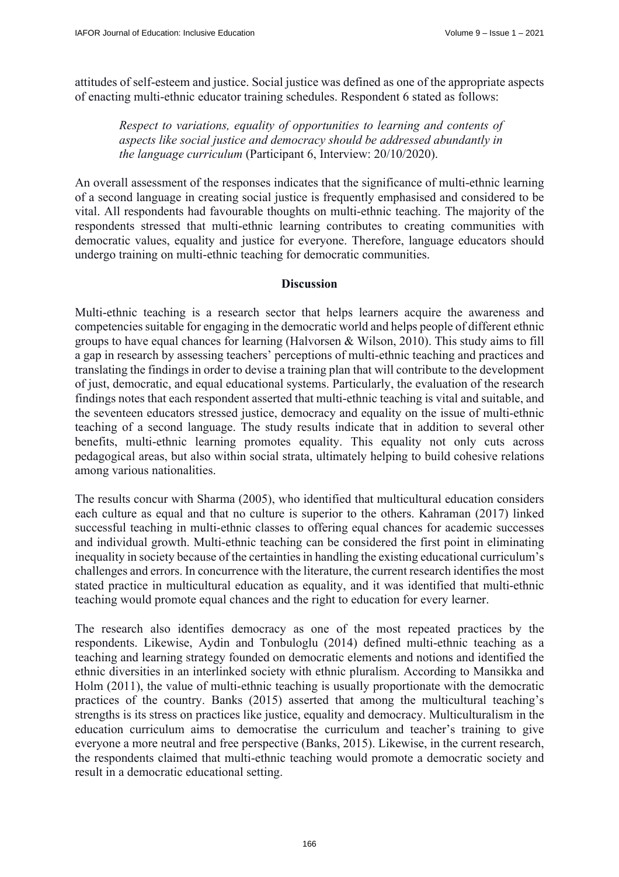attitudes of self-esteem and justice. Social justice was defined as one of the appropriate aspects of enacting multi-ethnic educator training schedules. Respondent 6 stated as follows:

*Respect to variations, equality of opportunities to learning and contents of aspects like social justice and democracy should be addressed abundantly in the language curriculum* (Participant 6, Interview: 20/10/2020).

An overall assessment of the responses indicates that the significance of multi-ethnic learning of a second language in creating social justice is frequently emphasised and considered to be vital. All respondents had favourable thoughts on multi-ethnic teaching. The majority of the respondents stressed that multi-ethnic learning contributes to creating communities with democratic values, equality and justice for everyone. Therefore, language educators should undergo training on multi-ethnic teaching for democratic communities.

### **Discussion**

Multi-ethnic teaching is a research sector that helps learners acquire the awareness and competencies suitable for engaging in the democratic world and helps people of different ethnic groups to have equal chances for learning (Halvorsen & Wilson, 2010). This study aims to fill a gap in research by assessing teachers' perceptions of multi-ethnic teaching and practices and translating the findings in order to devise a training plan that will contribute to the development of just, democratic, and equal educational systems. Particularly, the evaluation of the research findings notes that each respondent asserted that multi-ethnic teaching is vital and suitable, and the seventeen educators stressed justice, democracy and equality on the issue of multi-ethnic teaching of a second language. The study results indicate that in addition to several other benefits, multi-ethnic learning promotes equality. This equality not only cuts across pedagogical areas, but also within social strata, ultimately helping to build cohesive relations among various nationalities.

The results concur with Sharma (2005), who identified that multicultural education considers each culture as equal and that no culture is superior to the others. Kahraman (2017) linked successful teaching in multi-ethnic classes to offering equal chances for academic successes and individual growth. Multi-ethnic teaching can be considered the first point in eliminating inequality in society because of the certainties in handling the existing educational curriculum's challenges and errors. In concurrence with the literature, the current research identifies the most stated practice in multicultural education as equality, and it was identified that multi-ethnic teaching would promote equal chances and the right to education for every learner.

The research also identifies democracy as one of the most repeated practices by the respondents. Likewise, Aydin and Tonbuloglu (2014) defined multi-ethnic teaching as a teaching and learning strategy founded on democratic elements and notions and identified the ethnic diversities in an interlinked society with ethnic pluralism. According to Mansikka and Holm (2011), the value of multi-ethnic teaching is usually proportionate with the democratic practices of the country. Banks (2015) asserted that among the multicultural teaching's strengths is its stress on practices like justice, equality and democracy. Multiculturalism in the education curriculum aims to democratise the curriculum and teacher's training to give everyone a more neutral and free perspective (Banks, 2015). Likewise, in the current research, the respondents claimed that multi-ethnic teaching would promote a democratic society and result in a democratic educational setting.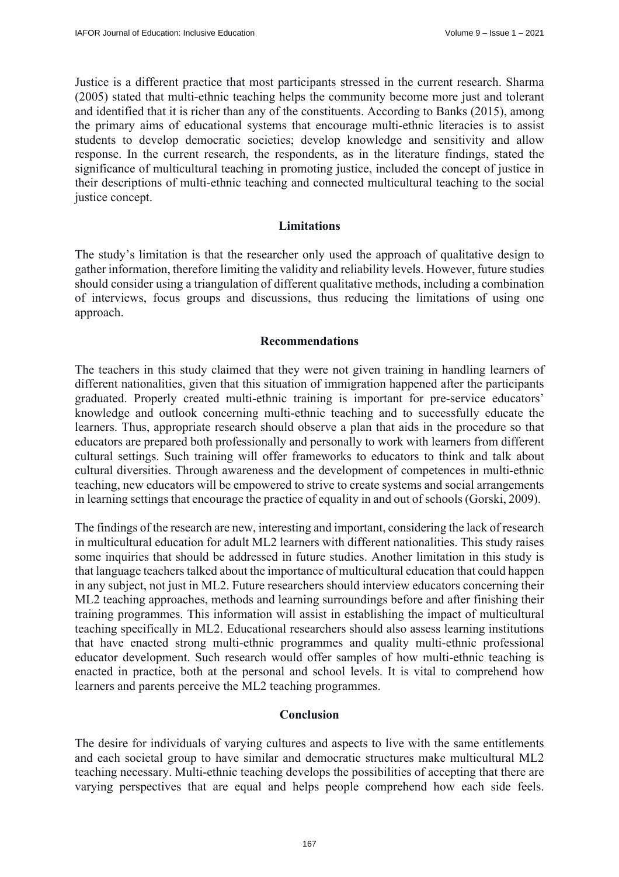Justice is a different practice that most participants stressed in the current research. Sharma (2005) stated that multi-ethnic teaching helps the community become more just and tolerant and identified that it is richer than any of the constituents. According to Banks (2015), among the primary aims of educational systems that encourage multi-ethnic literacies is to assist students to develop democratic societies; develop knowledge and sensitivity and allow response. In the current research, the respondents, as in the literature findings, stated the significance of multicultural teaching in promoting justice, included the concept of justice in their descriptions of multi-ethnic teaching and connected multicultural teaching to the social justice concept.

### **Limitations**

The study's limitation is that the researcher only used the approach of qualitative design to gather information, therefore limiting the validity and reliability levels. However, future studies should consider using a triangulation of different qualitative methods, including a combination of interviews, focus groups and discussions, thus reducing the limitations of using one approach.

### **Recommendations**

The teachers in this study claimed that they were not given training in handling learners of different nationalities, given that this situation of immigration happened after the participants graduated. Properly created multi-ethnic training is important for pre-service educators' knowledge and outlook concerning multi-ethnic teaching and to successfully educate the learners. Thus, appropriate research should observe a plan that aids in the procedure so that educators are prepared both professionally and personally to work with learners from different cultural settings. Such training will offer frameworks to educators to think and talk about cultural diversities. Through awareness and the development of competences in multi-ethnic teaching, new educators will be empowered to strive to create systems and social arrangements in learning settings that encourage the practice of equality in and out of schools (Gorski, 2009).

The findings of the research are new, interesting and important, considering the lack of research in multicultural education for adult ML2 learners with different nationalities. This study raises some inquiries that should be addressed in future studies. Another limitation in this study is that language teachers talked about the importance of multicultural education that could happen in any subject, not just in ML2. Future researchers should interview educators concerning their ML2 teaching approaches, methods and learning surroundings before and after finishing their training programmes. This information will assist in establishing the impact of multicultural teaching specifically in ML2. Educational researchers should also assess learning institutions that have enacted strong multi-ethnic programmes and quality multi-ethnic professional educator development. Such research would offer samples of how multi-ethnic teaching is enacted in practice, both at the personal and school levels. It is vital to comprehend how learners and parents perceive the ML2 teaching programmes.

## **Conclusion**

The desire for individuals of varying cultures and aspects to live with the same entitlements and each societal group to have similar and democratic structures make multicultural ML2 teaching necessary. Multi-ethnic teaching develops the possibilities of accepting that there are varying perspectives that are equal and helps people comprehend how each side feels.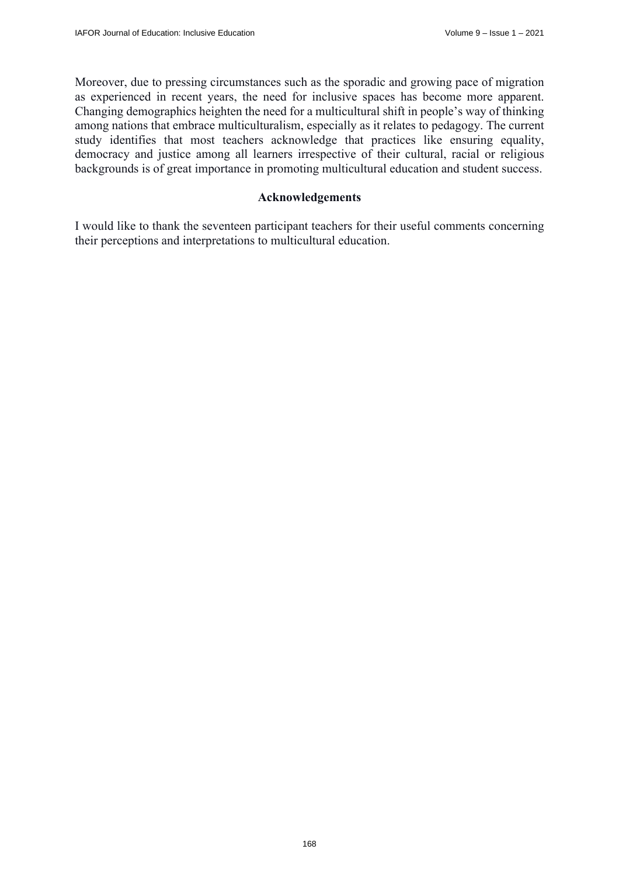Moreover, due to pressing circumstances such as the sporadic and growing pace of migration as experienced in recent years, the need for inclusive spaces has become more apparent. Changing demographics heighten the need for a multicultural shift in people's way of thinking among nations that embrace multiculturalism, especially as it relates to pedagogy. The current study identifies that most teachers acknowledge that practices like ensuring equality, democracy and justice among all learners irrespective of their cultural, racial or religious backgrounds is of great importance in promoting multicultural education and student success.

### **Acknowledgements**

I would like to thank the seventeen participant teachers for their useful comments concerning their perceptions and interpretations to multicultural education.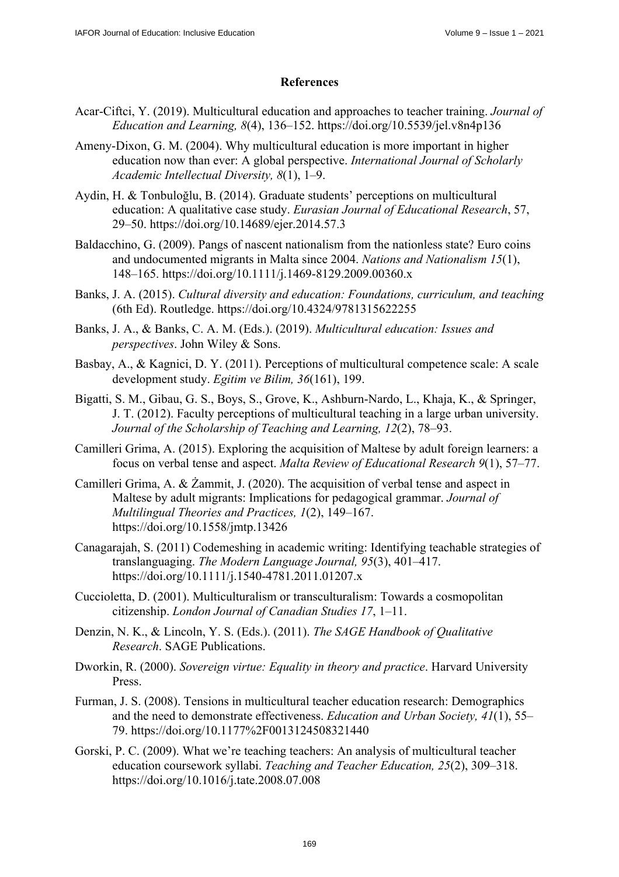# **References**

- Acar-Ciftci, Y. (2019). Multicultural education and approaches to teacher training. *Journal of Education and Learning, 8*(4), 136–152.<https://doi.org/10.5539/jel.v8n4p136>
- Ameny-Dixon, G. M. (2004). Why multicultural education is more important in higher education now than ever: A global perspective. *International Journal of Scholarly Academic Intellectual Diversity, 8*(1), 1–9.
- Aydin, H. & Tonbuloğlu, B. (2014). Graduate students' perceptions on multicultural education: A qualitative case study. *Eurasian Journal of Educational Research*, 57, 29–50. <https://doi.org/10.14689/ejer.2014.57.3>
- Baldacchino, G. (2009). Pangs of nascent nationalism from the nationless state? Euro coins and undocumented migrants in Malta since 2004. *Nations and Nationalism 15*(1), 148–165. <https://doi.org/10.1111/j.1469-8129.2009.00360.x>
- Banks, J. A. (2015). *Cultural diversity and education: Foundations, curriculum, and teaching* (6th Ed). Routledge. <https://doi.org/10.4324/9781315622255>
- Banks, J. A., & Banks, C. A. M. (Eds.). (2019). *Multicultural education: Issues and perspectives*. John Wiley & Sons.
- Basbay, A., & Kagnici, D. Y. (2011). Perceptions of multicultural competence scale: A scale development study. *Egitim ve Bilim, 36*(161), 199.
- Bigatti, S. M., Gibau, G. S., Boys, S., Grove, K., Ashburn-Nardo, L., Khaja, K., & Springer, J. T. (2012). Faculty perceptions of multicultural teaching in a large urban university. *Journal of the Scholarship of Teaching and Learning, 12*(2), 78–93.
- Camilleri Grima, A. (2015). Exploring the acquisition of Maltese by adult foreign learners: a focus on verbal tense and aspect. *Malta Review of Educational Research 9*(1), 57–77.
- Camilleri Grima, A. & Żammit, J. (2020). The acquisition of verbal tense and aspect in Maltese by adult migrants: Implications for pedagogical grammar. *Journal of Multilingual Theories and Practices, 1*(2), 149–167. <https://doi.org/10.1558/jmtp.13426>
- Canagarajah, S. (2011) Codemeshing in academic writing: Identifying teachable strategies of translanguaging. *The Modern Language Journal, 95*(3), 401–417. <https://doi.org/10.1111/j.1540-4781.2011.01207.x>
- Cuccioletta, D. (2001). Multiculturalism or transculturalism: Towards a cosmopolitan citizenship. *London Journal of Canadian Studies 17*, 1–11.
- Denzin, N. K., & Lincoln, Y. S. (Eds.). (2011). *The SAGE Handbook of Qualitative Research*. SAGE Publications.
- Dworkin, R. (2000). *Sovereign virtue: Equality in theory and practice*. Harvard University Press.
- Furman, J. S. (2008). Tensions in multicultural teacher education research: Demographics and the need to demonstrate effectiveness. *Education and Urban Society, 41*(1), 55– 79. <https://doi.org/10.1177%2F0013124508321440>
- Gorski, P. C. (2009). What we're teaching teachers: An analysis of multicultural teacher education coursework syllabi. *Teaching and Teacher Education, 25*(2), 309–318. <https://doi.org/10.1016/j.tate.2008.07.008>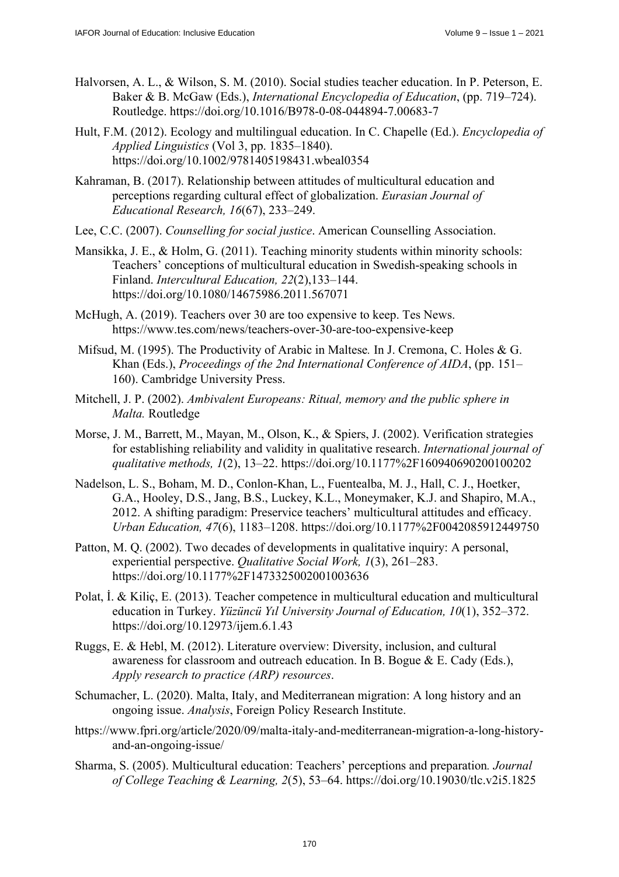- Halvorsen, A. L., & Wilson, S. M. (2010). Social studies teacher education. In P. Peterson, E. Baker & B. McGaw (Eds.), *International Encyclopedia of Education*, (pp. 719–724). Routledge.<https://doi.org/10.1016/B978-0-08-044894-7.00683-7>
- Hult, F.M. (2012). Ecology and multilingual education. In C. Chapelle (Ed.). *Encyclopedia of Applied Linguistics* (Vol 3, pp. 1835–1840). <https://doi.org/10.1002/9781405198431.wbeal0354>
- Kahraman, B. (2017). Relationship between attitudes of multicultural education and perceptions regarding cultural effect of globalization. *Eurasian Journal of Educational Research, 16*(67), 233–249.
- Lee, C.C. (2007). *Counselling for social justice*. American Counselling Association.
- Mansikka, J. E., & Holm, G. (2011). Teaching minority students within minority schools: Teachers' conceptions of multicultural education in Swedish‐speaking schools in Finland. *Intercultural Education, 22*(2),133–144. <https://doi.org/10.1080/14675986.2011.567071>
- McHugh, A. (2019). Teachers over 30 are too expensive to keep. Tes News. <https://www.tes.com/news/teachers-over-30-are-too-expensive-keep>
- Mifsud, M. (1995). The Productivity of Arabic in Maltese*.* In J. Cremona, C. Holes & G. Khan (Eds.), *Proceedings of the 2nd International Conference of AIDA*, (pp. 151– 160). Cambridge University Press.
- Mitchell, J. P. (2002). *Ambivalent Europeans: Ritual, memory and the public sphere in Malta.* Routledge
- Morse, J. M., Barrett, M., Mayan, M., Olson, K., & Spiers, J. (2002). Verification strategies for establishing reliability and validity in qualitative research. *International journal of qualitative methods, 1*(2), 13–22.<https://doi.org/10.1177%2F160940690200100202>
- Nadelson, L. S., Boham, M. D., Conlon-Khan, L., Fuentealba, M. J., Hall, C. J., Hoetker, G.A., Hooley, D.S., Jang, B.S., Luckey, K.L., Moneymaker, K.J. and Shapiro, M.A., 2012. A shifting paradigm: Preservice teachers' multicultural attitudes and efficacy. *Urban Education, 47*(6), 1183–1208. <https://doi.org/10.1177%2F0042085912449750>
- Patton, M. Q. (2002). Two decades of developments in qualitative inquiry: A personal, experiential perspective. *Qualitative Social Work, 1*(3), 261–283. <https://doi.org/10.1177%2F1473325002001003636>
- Polat, İ. & Kiliç, E. (2013). Teacher competence in multicultural education and multicultural education in Turkey. *Yüzüncü Yıl University Journal of Education, 10*(1), 352–372. <https://doi.org/10.12973/ijem.6.1.43>
- Ruggs, E. & Hebl, M. (2012). Literature overview: Diversity, inclusion, and cultural awareness for classroom and outreach education. In B. Bogue & E. Cady (Eds.), *Apply research to practice (ARP) resources*.
- Schumacher, L. (2020). Malta, Italy, and Mediterranean migration: A long history and an ongoing issue. *Analysis*, Foreign Policy Research Institute.
- [https://www.fpri.org/article/2020/09/malta-italy-and-mediterranean-migration-a-long-history](https://www.fpri.org/article/2020/09/malta-italy-and-mediterranean-migration-a-long-history-and-an-ongoing-issue/)and[-an-ongoing-issue/](https://www.fpri.org/article/2020/09/malta-italy-and-mediterranean-migration-a-long-history-and-an-ongoing-issue/)
- Sharma, S. (2005). Multicultural education: Teachers' perceptions and preparation*. Journal of College Teaching & Learning, 2*(5), 53–64. <https://doi.org/10.19030/tlc.v2i5.1825>